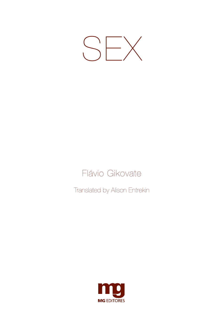

### Flávio Gikovate

Translated by Alison Entrekin

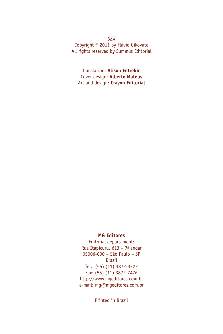#### *SEX* Copyright © 2011 by Flávio Gikovate All rights reserved by Summus Editorial

Translation: **Alison Entrekin** Cover design: **Alberto Mateus** Art and design: **Crayon Editorial**

#### **MG Editores**

Editorial departament: Rua Itapicuru, 613 - 7º andar 05006-000 – São Paulo – SP Brazil Tel.: (55) (11) 3872-3322 Fax: (55) (11) 3872-7476 http://www.mgeditores.com.br e-mail: mg@mgeditores.com.br

Printed in Brazil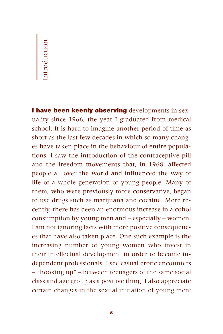## $\overline{\phantom{a}}$ IntroductionIntroduction

**I have been keenly observing** developments in sexuality since 1966, the year I graduated from medical school. It is hard to imagine another period of time as short as the last few decades in which so many changes have taken place in the behaviour of entire populations. I saw the introduction of the contraceptive pill and the freedom movements that, in 1968, affected people all over the world and influenced the way of life of a whole generation of young people. Many of them, who were previously more conservative, began to use drugs such as marijuana and cocaine. More recently, there has been an enormous increase in alcohol consumption by young men and – especially – women. I am not ignoring facts with more positive consequences that have also taken place. One such example is the increasing number of young women who invest in their intellectual development in order to become independent professionals. I see casual erotic encounters – "hooking up" – between teenagers of the same social class and age group as a positive thing. I also appreciate certain changes in the sexual initiation of young men: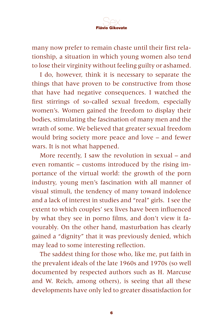

many now prefer to remain chaste until their first relationship, a situation in which young women also tend to lose their virginity without feeling guilty or ashamed.

I do, however, think it is necessary to separate the things that have proven to be constructive from those that have had negative consequences. I watched the first stirrings of so-called sexual freedom, especially women's. Women gained the freedom to display their bodies, stimulating the fascination of many men and the wrath of some. We believed that greater sexual freedom would bring society more peace and love – and fewer wars. It is not what happened.

More recently, I saw the revolution in sexual – and even romantic – customs introduced by the rising importance of the virtual world: the growth of the porn industry, young men's fascination with all manner of visual stimuli, the tendency of many toward indolence and a lack of interest in studies and "real" girls. I see the extent to which couples' sex lives have been influenced by what they see in porno films, and don't view it favourably. On the other hand, masturbation has clearly gained a "dignity" that it was previously denied, which may lead to some interesting reflection.

The saddest thing for those who, like me, put faith in the prevalent ideals of the late 1960s and 1970s (so well documented by respected authors such as H. Marcuse and W. Reich, among others), is seeing that all these developments have only led to greater dissatisfaction for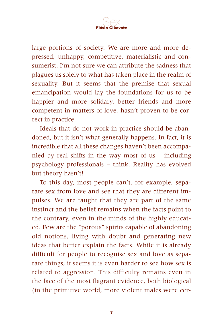

large portions of society. We are more and more depressed, unhappy, competitive, materialistic and consumerist. I'm not sure we can attribute the sadness that plagues us solely to what has taken place in the realm of sexuality. But it seems that the premise that sexual emancipation would lay the foundations for us to be happier and more solidary, better friends and more competent in matters of love, hasn't proven to be correct in practice.

Ideals that do not work in practice should be abandoned, but it isn't what generally happens. In fact, it is incredible that all these changes haven't been accompanied by real shifts in the way most of us – including psychology professionals – think. Reality has evolved but theory hasn't!

To this day, most people can't, for example, separate sex from love and see that they are different impulses. We are taught that they are part of the same instinct and the belief remains when the facts point to the contrary, even in the minds of the highly educated. Few are the "porous" spirits capable of abandoning old notions, living with doubt and generating new ideas that better explain the facts. While it is already difficult for people to recognise sex and love as separate things, it seems it is even harder to see how sex is related to aggression. This difficulty remains even in the face of the most flagrant evidence, both biological (in the primitive world, more violent males were cer-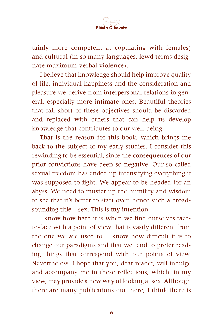

tainly more competent at copulating with females) and cultural (in so many languages, lewd terms designate maximum verbal violence).

I believe that knowledge should help improve quality of life, individual happiness and the consideration and pleasure we derive from interpersonal relations in general, especially more intimate ones. Beautiful theories that fall short of these objectives should be discarded and replaced with others that can help us develop knowledge that contributes to our well-being.

That is the reason for this book, which brings me back to the subject of my early studies. I consider this rewinding to be essential, since the consequences of our prior convictions have been so negative. Our so-called sexual freedom has ended up intensifying everything it was supposed to fight. We appear to be headed for an abyss. We need to muster up the humility and wisdom to see that it's better to start over, hence such a broadsounding title – sex. This is my intention.

I know how hard it is when we find ourselves faceto-face with a point of view that is vastly different from the one we are used to. I know how difficult it is to change our paradigms and that we tend to prefer reading things that correspond with our points of view. Nevertheless, I hope that you, dear reader, will indulge and accompany me in these reflections, which, in my view, may provide a new way of looking at sex. Although there are many publications out there, I think there is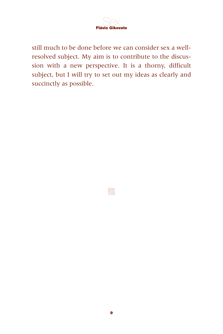

still much to be done before we can consider sex a wellresolved subject. My aim is to contribute to the discussion with a new perspective. It is a thorny, difficult subject, but I will try to set out my ideas as clearly and succinctly as possible.

'Mi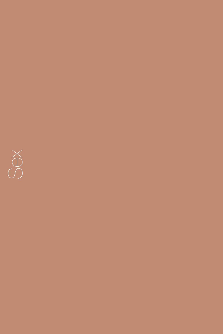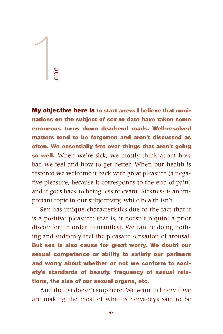# 1 one

**My objective here is to start anew. I believe that ruminations on the subject of sex to date have taken some erroneous turns down dead-end roads. Well-resolved matters tend to be forgotten and aren't discussed as often. We essentially fret over things that aren't going so well.** When we're sick, we mostly think about how bad we feel and how to get better. When our health is restored we welcome it back with great pleasure (a negative pleasure, because it corresponds to the end of pain) and it goes back to being less relevant. Sickness is an important topic in our subjectivity, while health isn't.

Sex has unique characteristics due to the fact that it is a positive pleasure; that is, it doesn't require a prior discomfort in order to manifest. We can be doing nothing and suddenly feel the pleasant sensation of arousal. **But sex is also cause for great worry. We doubt our sexual competence or ability to satisfy our partners and worry about whether or not we conform to society's standards of beauty, frequency of sexual relations, the size of our sexual organs, etc.**

And the list doesn't stop here. We want to know if we are making the most of what is nowadays said to be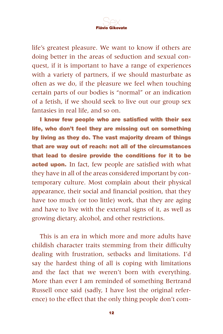

life's greatest pleasure. We want to know if others are doing better in the areas of seduction and sexual conquest, if it is important to have a range of experiences with a variety of partners, if we should masturbate as often as we do, if the pleasure we feel when touching certain parts of our bodies is "normal" or an indication of a fetish, if we should seek to live out our group sex fantasies in real life, and so on.

**I know few people who are satisfied with their sex life, who don't feel they are missing out on something by living as they do. The vast majority dream of things that are way out of reach: not all of the circumstances that lead to desire provide the conditions for it to be acted upon.** In fact, few people are satisfied with what they have in all of the areas considered important by contemporary culture. Most complain about their physical appearance, their social and financial position, that they have too much (or too little) work, that they are aging and have to live with the external signs of it, as well as growing dietary, alcohol, and other restrictions.

This is an era in which more and more adults have childish character traits stemming from their difficulty dealing with frustration, setbacks and limitations. I'd say the hardest thing of all is coping with limitations and the fact that we weren't born with everything. More than ever I am reminded of something Bertrand Russell once said (sadly, I have lost the original reference) to the effect that the only thing people don't com-